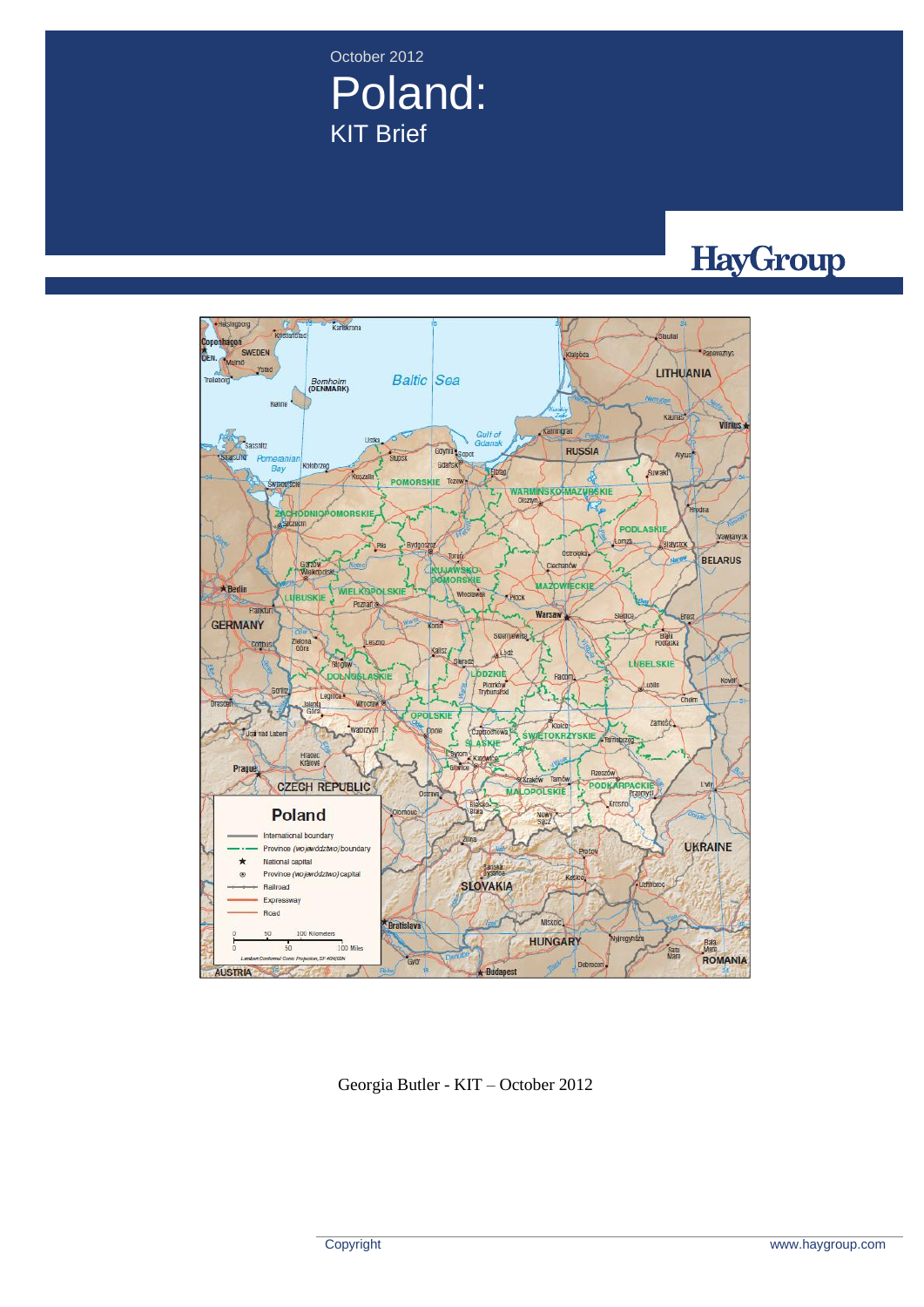October 2012 Poland: KIT Brief

# HayGroup



Georgia Butler - KIT – October 2012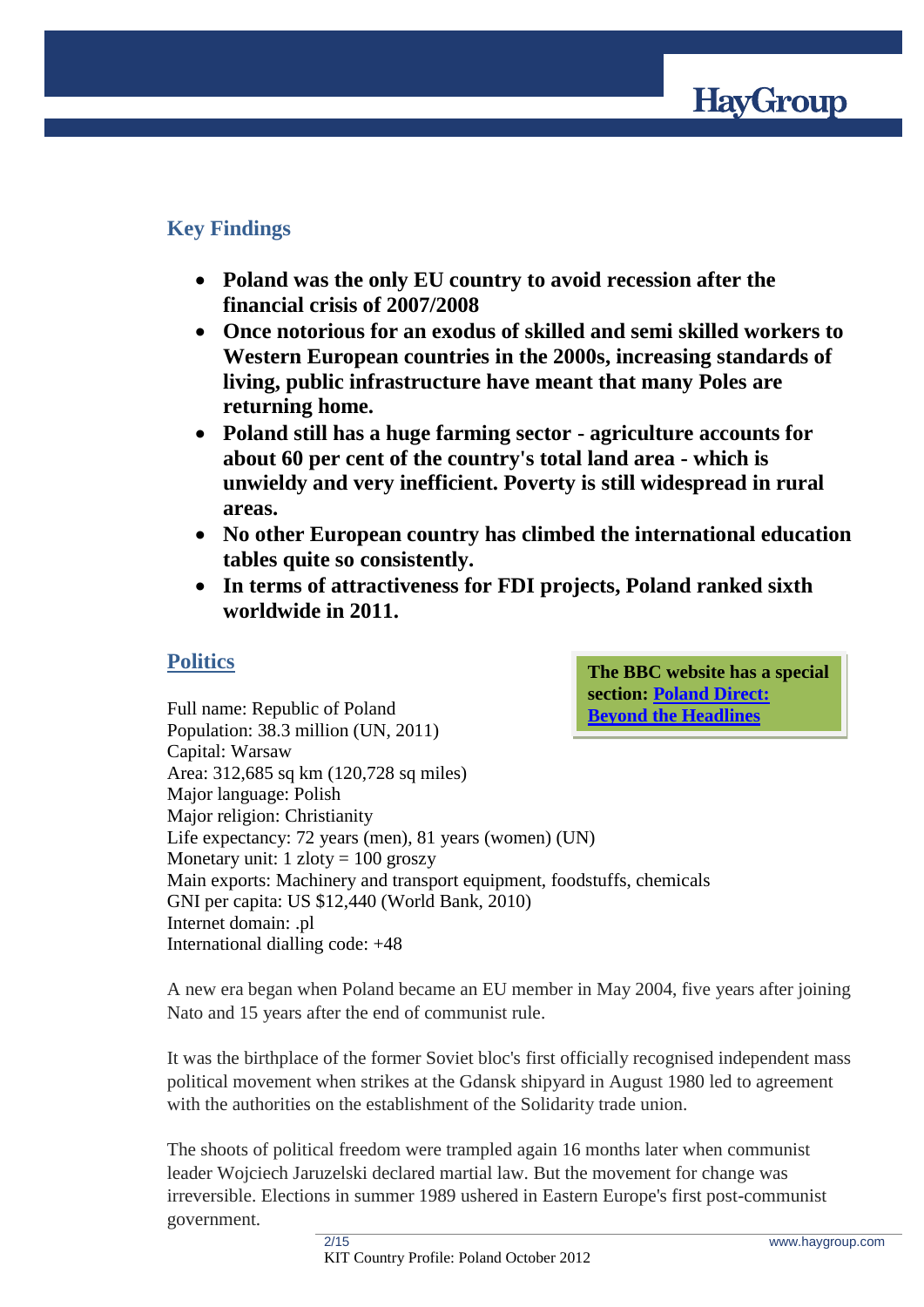

# **Key Findings**

- **Poland was the only EU country to avoid recession after the financial crisis of 2007/2008**
- **Once notorious for an exodus of skilled and semi skilled workers to Western European countries in the 2000s, increasing standards of living, public infrastructure have meant that many Poles are returning home.**
- **Poland still has a huge farming sector - agriculture accounts for about 60 per cent of the country's total land area - which is unwieldy and very inefficient. Poverty is still widespread in rural areas.**
- **No other European country has climbed the international education tables quite so consistently.**
- **In terms of attractiveness for FDI projects, Poland ranked sixth worldwide in 2011.**

# **Politics**

**The BBC website has a special section: [Poland Direct:](http://www.bbc.co.uk/news/world-radio-and-tv-17488902)  [Beyond the Headlines](http://www.bbc.co.uk/news/world-radio-and-tv-17488902)**

Full name: Republic of Poland Population: 38.3 million (UN, 2011) Capital: Warsaw Area: 312,685 sq km (120,728 sq miles) Major language: Polish Major religion: Christianity Life expectancy: 72 years (men), 81 years (women) (UN) Monetary unit:  $1$  zloty = 100 groszy Main exports: Machinery and transport equipment, foodstuffs, chemicals GNI per capita: US \$12,440 (World Bank, 2010) Internet domain: .pl International dialling code: +48

A new era began when Poland became an EU member in May 2004, five years after joining Nato and 15 years after the end of communist rule.

It was the birthplace of the former Soviet bloc's first officially recognised independent mass political movement when strikes at the Gdansk shipyard in August 1980 led to agreement with the authorities on the establishment of the Solidarity trade union.

The shoots of political freedom were trampled again 16 months later when communist leader Wojciech Jaruzelski declared martial law. But the movement for change was irreversible. Elections in summer 1989 ushered in Eastern Europe's first post-communist government.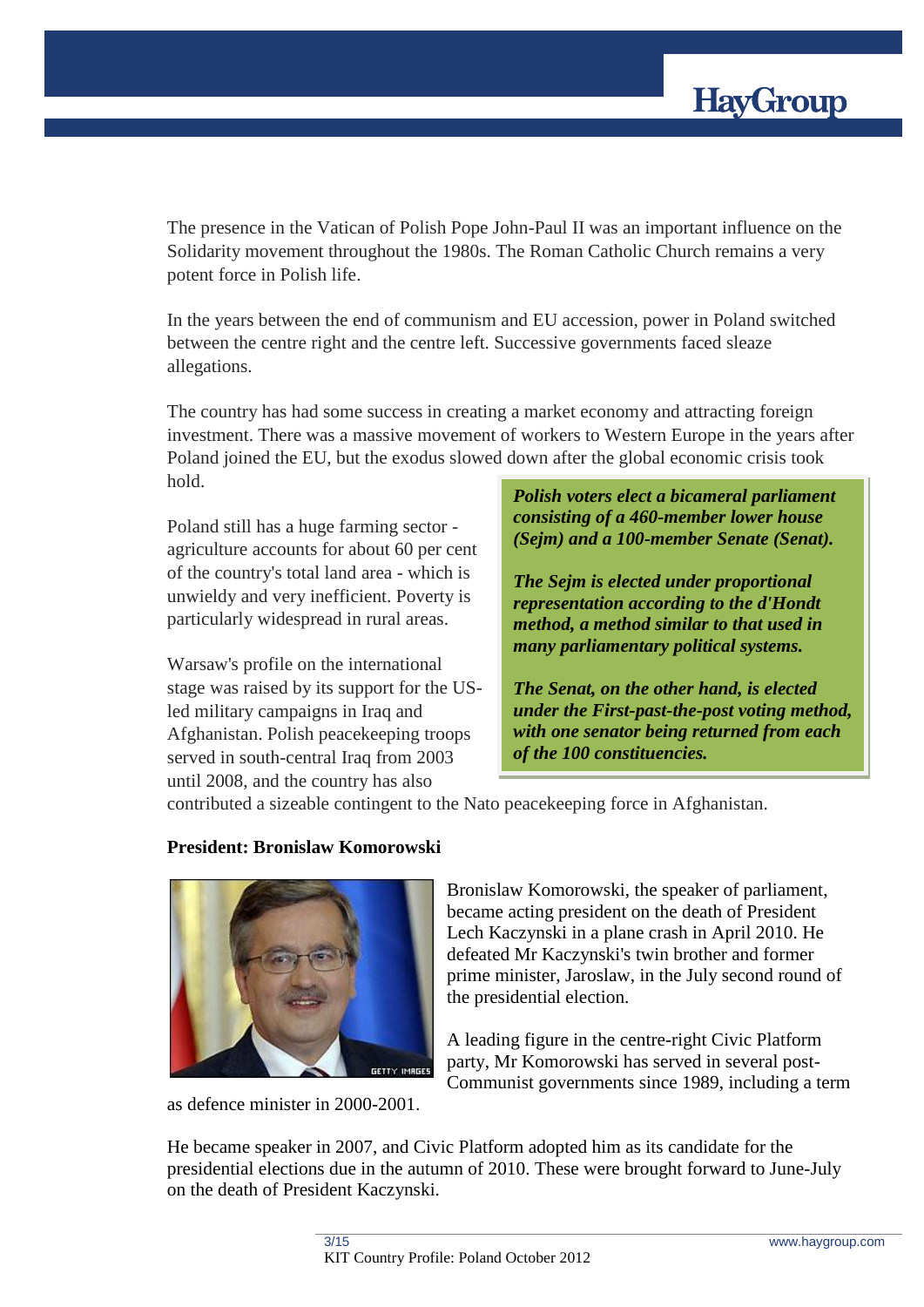

The presence in the Vatican of Polish Pope John-Paul II was an important influence on the Solidarity movement throughout the 1980s. The Roman Catholic Church remains a very potent force in Polish life.

In the years between the end of communism and EU accession, power in Poland switched between the centre right and the centre left. Successive governments faced sleaze allegations.

The country has had some success in creating a market economy and attracting foreign investment. There was a massive movement of workers to Western Europe in the years after Poland joined the EU, but the exodus slowed down after the global economic crisis took hold.

Poland still has a huge farming sector agriculture accounts for about 60 per cent of the country's total land area - which is unwieldy and very inefficient. Poverty is particularly widespread in rural areas.

Warsaw's profile on the international stage was raised by its support for the USled military campaigns in Iraq and Afghanistan. Polish peacekeeping troops served in south-central Iraq from 2003 until 2008, and the country has also

*Polish voters elect a bicameral parliament consisting of a 460-member lower house (Sejm) and a 100-member Senate (Senat).* 

*The Sejm is elected under proportional representation according to the d'Hondt method, a method similar to that used in many parliamentary political systems.* 

*The Senat, on the other hand, is elected under the First-past-the-post voting method, with one senator being returned from each of the 100 constituencies.*

contributed a sizeable contingent to the Nato peacekeeping force in Afghanistan.

## **President: Bronislaw Komorowski**



as defence minister in 2000-2001.

Bronislaw Komorowski, the speaker of parliament, became acting president on the death of President Lech Kaczynski in a plane crash in April 2010. He defeated Mr Kaczynski's twin brother and former prime minister, Jaroslaw, in the July second round of the presidential election.

A leading figure in the centre-right Civic Platform party, Mr Komorowski has served in several post-Communist governments since 1989, including a term

He became speaker in 2007, and Civic Platform adopted him as its candidate for the presidential elections due in the autumn of 2010. These were brought forward to June-July on the death of President Kaczynski.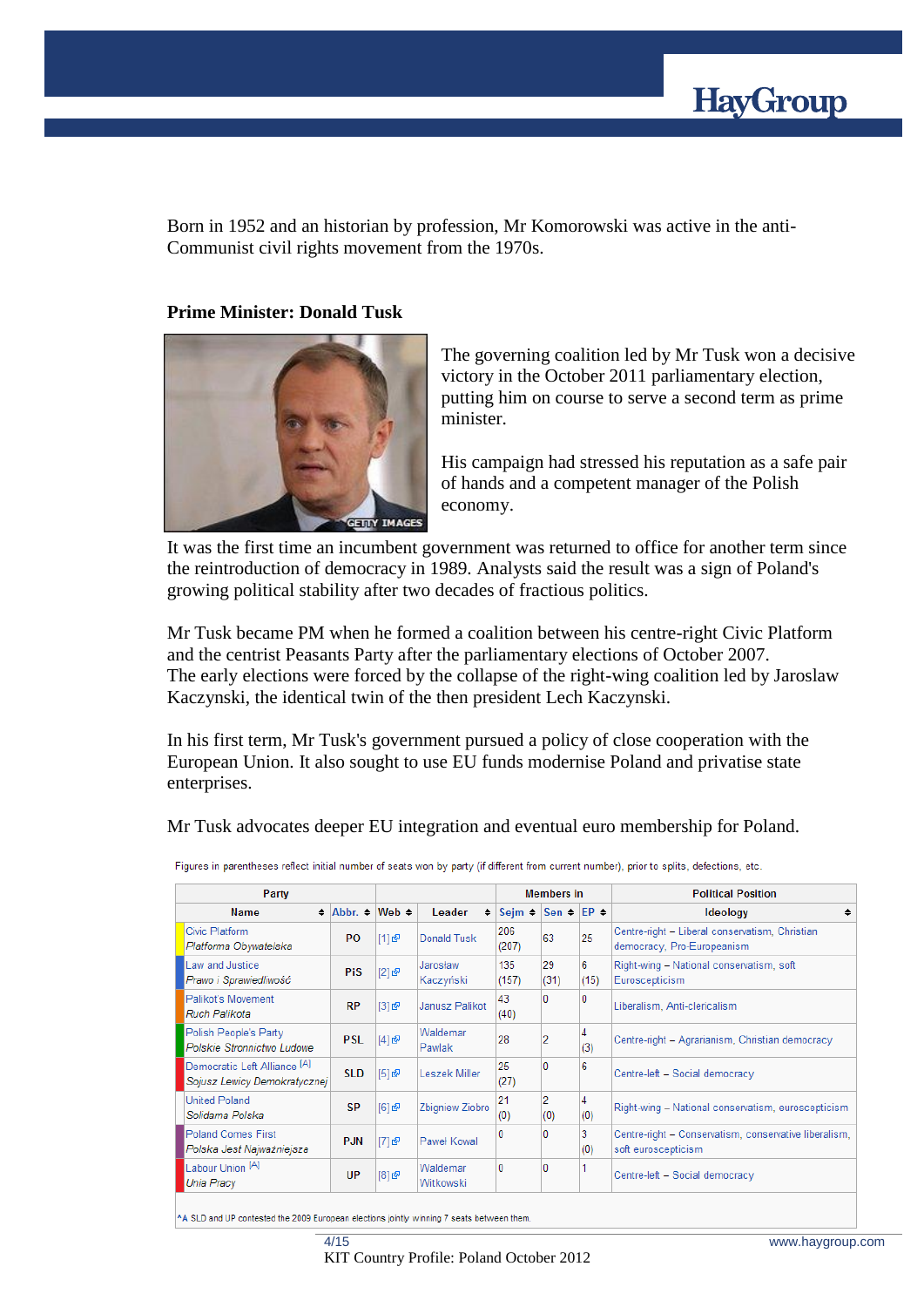

Born in 1952 and an historian by profession, Mr Komorowski was active in the anti-Communist civil rights movement from the 1970s.

### **Prime Minister: Donald Tusk**



The governing coalition led by Mr Tusk won a decisive victory in the October 2011 parliamentary election, putting him on course to serve a second term as prime minister.

His campaign had stressed his reputation as a safe pair of hands and a competent manager of the Polish economy.

It was the first time an incumbent government was returned to office for another term since the reintroduction of democracy in 1989. Analysts said the result was a sign of Poland's growing political stability after two decades of fractious politics.

Mr Tusk became PM when he formed a coalition between his centre-right Civic Platform and the centrist Peasants Party after the parliamentary elections of October 2007. The early elections were forced by the collapse of the right-wing coalition led by Jaroslaw Kaczynski, the identical twin of the then president Lech Kaczynski.

In his first term, Mr Tusk's government pursued a policy of close cooperation with the European Union. It also sought to use EU funds modernise Poland and privatise state enterprises.

Mr Tusk advocates deeper EU integration and eventual euro membership for Poland.

| Party                                                                   |                                |       |                       | <b>Members</b> in |                      |           | <b>Political Position</b>                                                    |
|-------------------------------------------------------------------------|--------------------------------|-------|-----------------------|-------------------|----------------------|-----------|------------------------------------------------------------------------------|
| <b>Name</b>                                                             | $\div$ Abbr. $\div$ Web $\div$ |       | Leader<br>٠           | Sejm $\div$       | Sen $\div$ EP $\div$ |           | <b>Ideology</b><br>٠                                                         |
| Civic Platform<br>Platforma Obywatelska                                 | <b>PO</b>                      | [1] 图 | Donald Tusk           | 206<br>(207)      | 63                   | 25        | Centre-right - Liberal conservatism, Christian<br>democracy, Pro-Europeanism |
| Law and Justice<br>Prawo i Sprawiedliwość                               | <b>PiS</b>                     | [2]   | Jarosław<br>Kaczyński | 135<br>(157)      | 29<br>(31)           | 6<br>(15) | Right-wing - National conservatism, soft<br>Euroscepticism                   |
| Palikot's Movement<br>Ruch Palikota                                     | <b>RP</b>                      | [3]   | Janusz Palikot        | 43<br>(40)        | 0                    | 0         | Liberalism, Anti-clericalism                                                 |
| Polish People's Party<br>Polskie Stronnictwo Ludowe                     | <b>PSL</b>                     | [4]   | Waldemar<br>Pawlak    | 28                | 2                    | 4<br>(3)  | Centre-right - Agrarianism, Christian democracy                              |
| Democratic Left Alliance <sup>[A]</sup><br>Sojusz Lewicy Demokratycznej | <b>SLD</b>                     | [5]   | Leszek Miller         | 25<br>(27)        | $\mathbf{0}$         | 6         | Centre-left - Social democracy                                               |
| <b>United Poland</b><br>Solidama Polska                                 | <b>SP</b>                      | [6]   | Zbigniew Ziobro       | 21<br>(0)         | 2<br>(0)             | 4<br>(0)  | Right-wing - National conservatism, euroscepticism                           |
| <b>Poland Comes First</b><br>Polska Jest Najważniejsza                  | <b>PJN</b>                     | [7]   | Paweł Kowal           | 10                | 0                    | 3<br>(0)  | Centre-right - Conservatism, conservative liberalism,<br>soft euroscepticism |
| Labour Union [A]<br><b>Unia Pracy</b>                                   | UP                             | [8]   | Waldemar<br>Witkowski | o                 | $\mathbf{0}$         |           | Centre-left - Social democracy                                               |

Figures in parentheses reflect initial number of seats won by party (if different from current number), prior to splits, defections, etc.

^A SLD and UP contested the 2009 European elections jointly winning 7 seats between them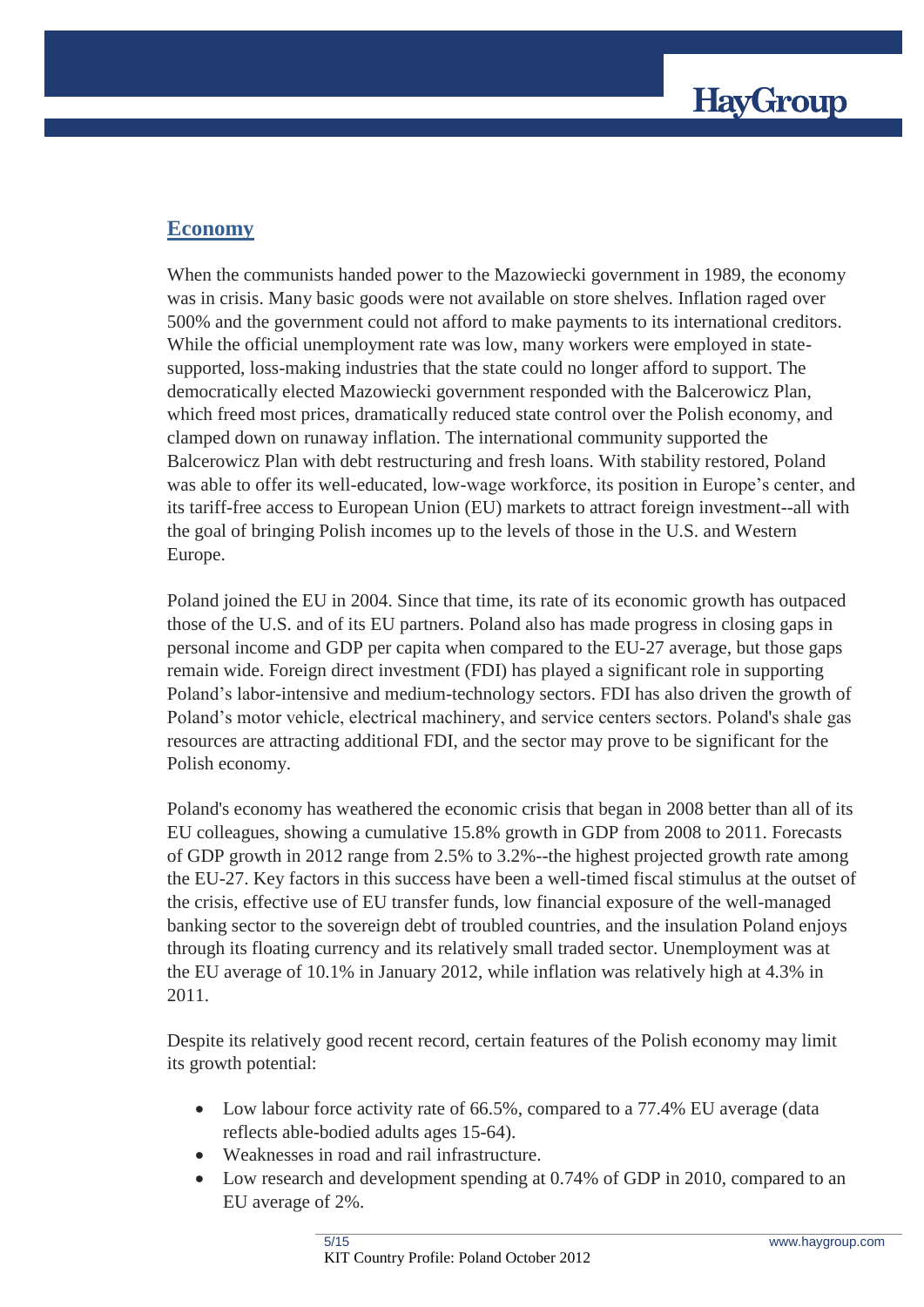## **Economy**

When the communists handed power to the Mazowiecki government in 1989, the economy was in crisis. Many basic goods were not available on store shelves. Inflation raged over 500% and the government could not afford to make payments to its international creditors. While the official unemployment rate was low, many workers were employed in statesupported, loss-making industries that the state could no longer afford to support. The democratically elected Mazowiecki government responded with the Balcerowicz Plan, which freed most prices, dramatically reduced state control over the Polish economy, and clamped down on runaway inflation. The international community supported the Balcerowicz Plan with debt restructuring and fresh loans. With stability restored, Poland was able to offer its well-educated, low-wage workforce, its position in Europe's center, and its tariff-free access to European Union (EU) markets to attract foreign investment--all with the goal of bringing Polish incomes up to the levels of those in the U.S. and Western Europe.

Poland joined the EU in 2004. Since that time, its rate of its economic growth has outpaced those of the U.S. and of its EU partners. Poland also has made progress in closing gaps in personal income and GDP per capita when compared to the EU-27 average, but those gaps remain wide. Foreign direct investment (FDI) has played a significant role in supporting Poland's labor-intensive and medium-technology sectors. FDI has also driven the growth of Poland's motor vehicle, electrical machinery, and service centers sectors. Poland's shale gas resources are attracting additional FDI, and the sector may prove to be significant for the Polish economy.

Poland's economy has weathered the economic crisis that began in 2008 better than all of its EU colleagues, showing a cumulative 15.8% growth in GDP from 2008 to 2011. Forecasts of GDP growth in 2012 range from 2.5% to 3.2%--the highest projected growth rate among the EU-27. Key factors in this success have been a well-timed fiscal stimulus at the outset of the crisis, effective use of EU transfer funds, low financial exposure of the well-managed banking sector to the sovereign debt of troubled countries, and the insulation Poland enjoys through its floating currency and its relatively small traded sector. Unemployment was at the EU average of 10.1% in January 2012, while inflation was relatively high at 4.3% in 2011.

Despite its relatively good recent record, certain features of the Polish economy may limit its growth potential:

- Low labour force activity rate of 66.5%, compared to a 77.4% EU average (data reflects able-bodied adults ages 15-64).
- Weaknesses in road and rail infrastructure.
- Low research and development spending at 0.74% of GDP in 2010, compared to an EU average of 2%.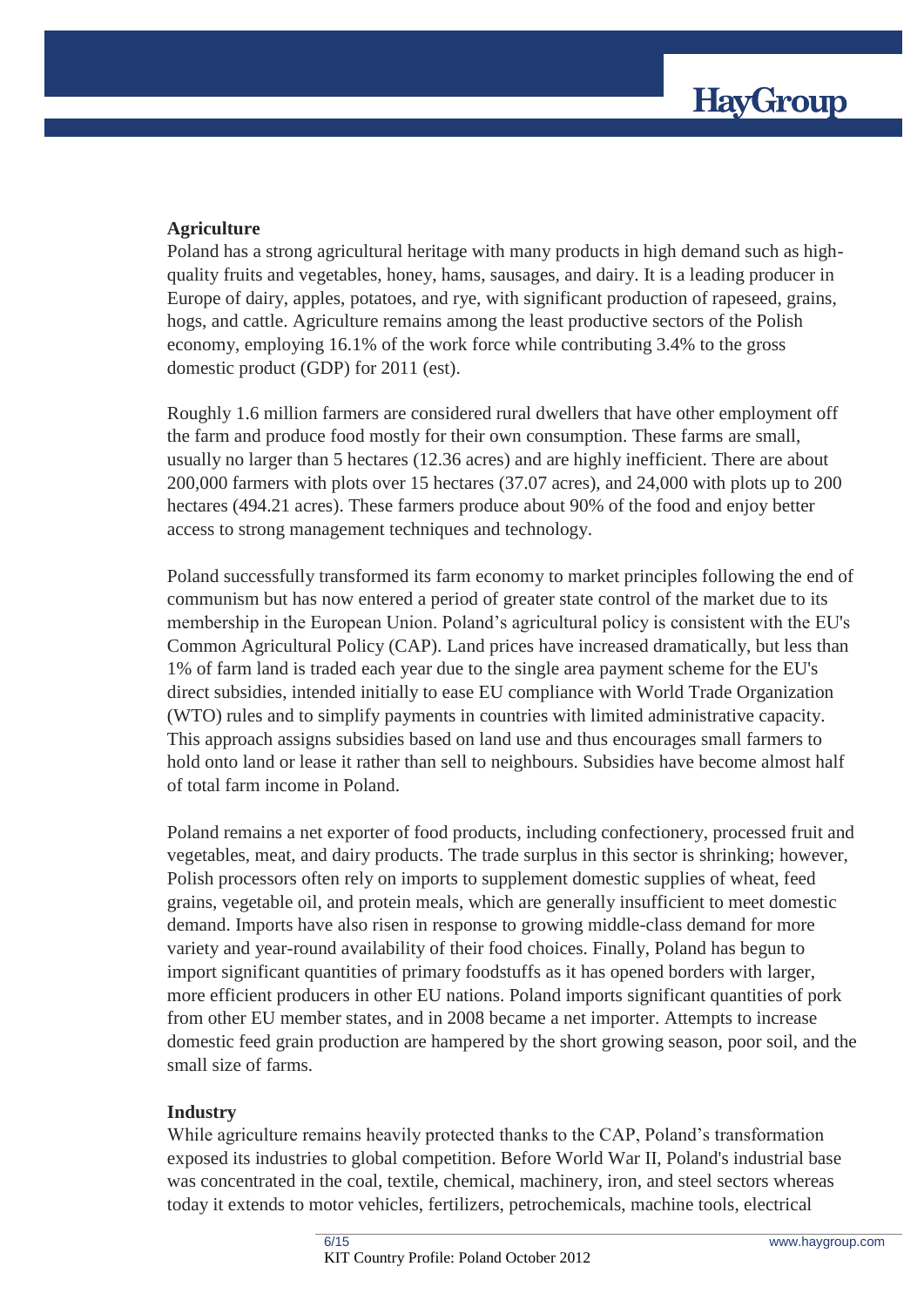## **Agriculture**

Poland has a strong agricultural heritage with many products in high demand such as highquality fruits and vegetables, honey, hams, sausages, and dairy. It is a leading producer in Europe of dairy, apples, potatoes, and rye, with significant production of rapeseed, grains, hogs, and cattle. Agriculture remains among the least productive sectors of the Polish economy, employing 16.1% of the work force while contributing 3.4% to the gross domestic product (GDP) for 2011 (est).

Roughly 1.6 million farmers are considered rural dwellers that have other employment off the farm and produce food mostly for their own consumption. These farms are small, usually no larger than 5 hectares (12.36 acres) and are highly inefficient. There are about 200,000 farmers with plots over 15 hectares (37.07 acres), and 24,000 with plots up to 200 hectares (494.21 acres). These farmers produce about 90% of the food and enjoy better access to strong management techniques and technology.

Poland successfully transformed its farm economy to market principles following the end of communism but has now entered a period of greater state control of the market due to its membership in the European Union. Poland's agricultural policy is consistent with the EU's Common Agricultural Policy (CAP). Land prices have increased dramatically, but less than 1% of farm land is traded each year due to the single area payment scheme for the EU's direct subsidies, intended initially to ease EU compliance with World Trade Organization (WTO) rules and to simplify payments in countries with limited administrative capacity. This approach assigns subsidies based on land use and thus encourages small farmers to hold onto land or lease it rather than sell to neighbours. Subsidies have become almost half of total farm income in Poland.

Poland remains a net exporter of food products, including confectionery, processed fruit and vegetables, meat, and dairy products. The trade surplus in this sector is shrinking; however, Polish processors often rely on imports to supplement domestic supplies of wheat, feed grains, vegetable oil, and protein meals, which are generally insufficient to meet domestic demand. Imports have also risen in response to growing middle-class demand for more variety and year-round availability of their food choices. Finally, Poland has begun to import significant quantities of primary foodstuffs as it has opened borders with larger, more efficient producers in other EU nations. Poland imports significant quantities of pork from other EU member states, and in 2008 became a net importer. Attempts to increase domestic feed grain production are hampered by the short growing season, poor soil, and the small size of farms.

## **Industry**

While agriculture remains heavily protected thanks to the CAP, Poland's transformation exposed its industries to global competition. Before World War II, Poland's industrial base was concentrated in the coal, textile, chemical, machinery, iron, and steel sectors whereas today it extends to motor vehicles, fertilizers, petrochemicals, machine tools, electrical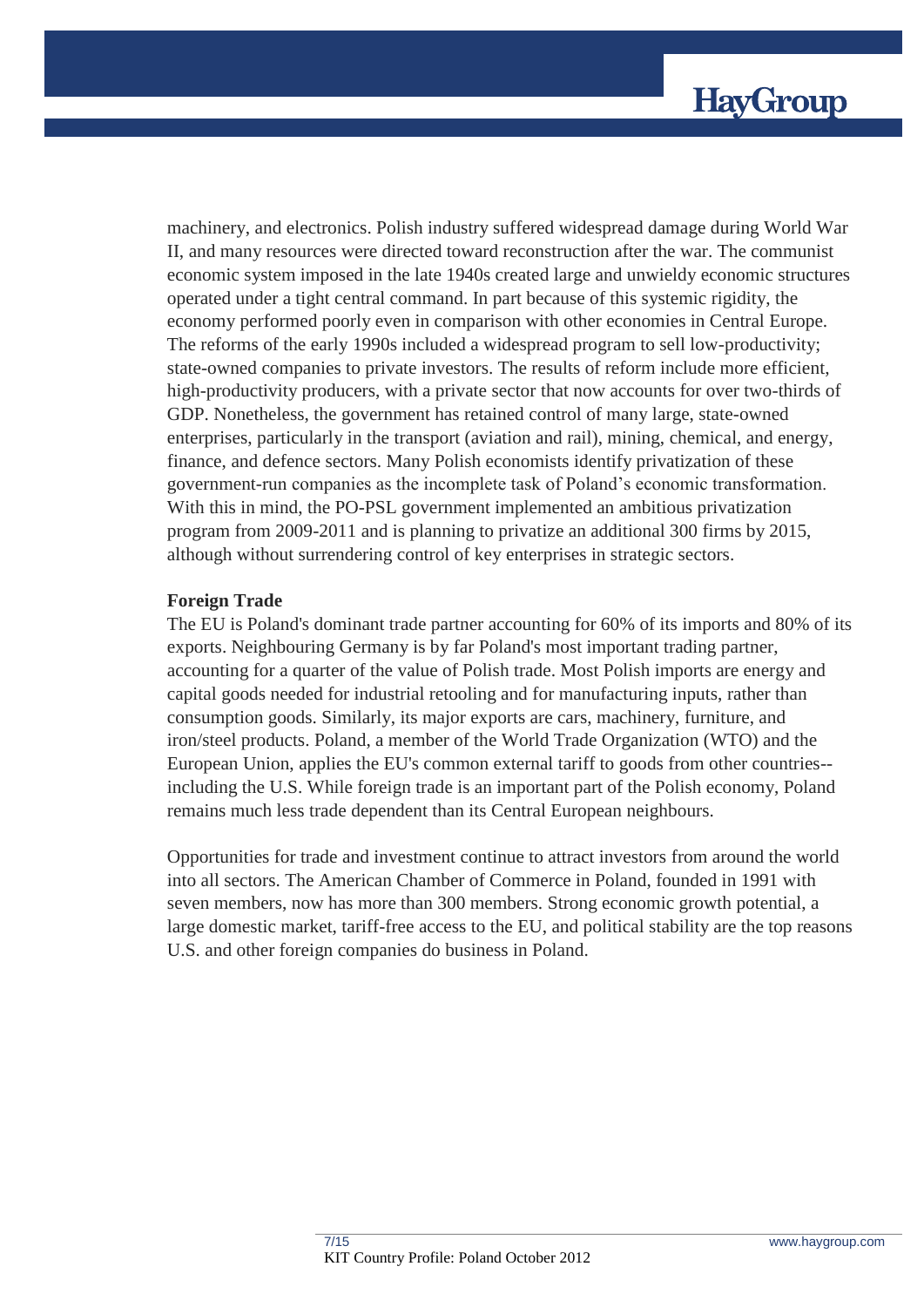machinery, and electronics. Polish industry suffered widespread damage during World War II, and many resources were directed toward reconstruction after the war. The communist economic system imposed in the late 1940s created large and unwieldy economic structures operated under a tight central command. In part because of this systemic rigidity, the economy performed poorly even in comparison with other economies in Central Europe. The reforms of the early 1990s included a widespread program to sell low-productivity; state-owned companies to private investors. The results of reform include more efficient, high-productivity producers, with a private sector that now accounts for over two-thirds of GDP. Nonetheless, the government has retained control of many large, state-owned enterprises, particularly in the transport (aviation and rail), mining, chemical, and energy, finance, and defence sectors. Many Polish economists identify privatization of these government-run companies as the incomplete task of Poland's economic transformation. With this in mind, the PO-PSL government implemented an ambitious privatization program from 2009-2011 and is planning to privatize an additional 300 firms by 2015, although without surrendering control of key enterprises in strategic sectors.

## **Foreign Trade**

The EU is Poland's dominant trade partner accounting for 60% of its imports and 80% of its exports. Neighbouring Germany is by far Poland's most important trading partner, accounting for a quarter of the value of Polish trade. Most Polish imports are energy and capital goods needed for industrial retooling and for manufacturing inputs, rather than consumption goods. Similarly, its major exports are cars, machinery, furniture, and iron/steel products. Poland, a member of the World Trade Organization (WTO) and the European Union, applies the EU's common external tariff to goods from other countries- including the U.S. While foreign trade is an important part of the Polish economy, Poland remains much less trade dependent than its Central European neighbours.

Opportunities for trade and investment continue to attract investors from around the world into all sectors. The American Chamber of Commerce in Poland, founded in 1991 with seven members, now has more than 300 members. Strong economic growth potential, a large domestic market, tariff-free access to the EU, and political stability are the top reasons U.S. and other foreign companies do business in Poland.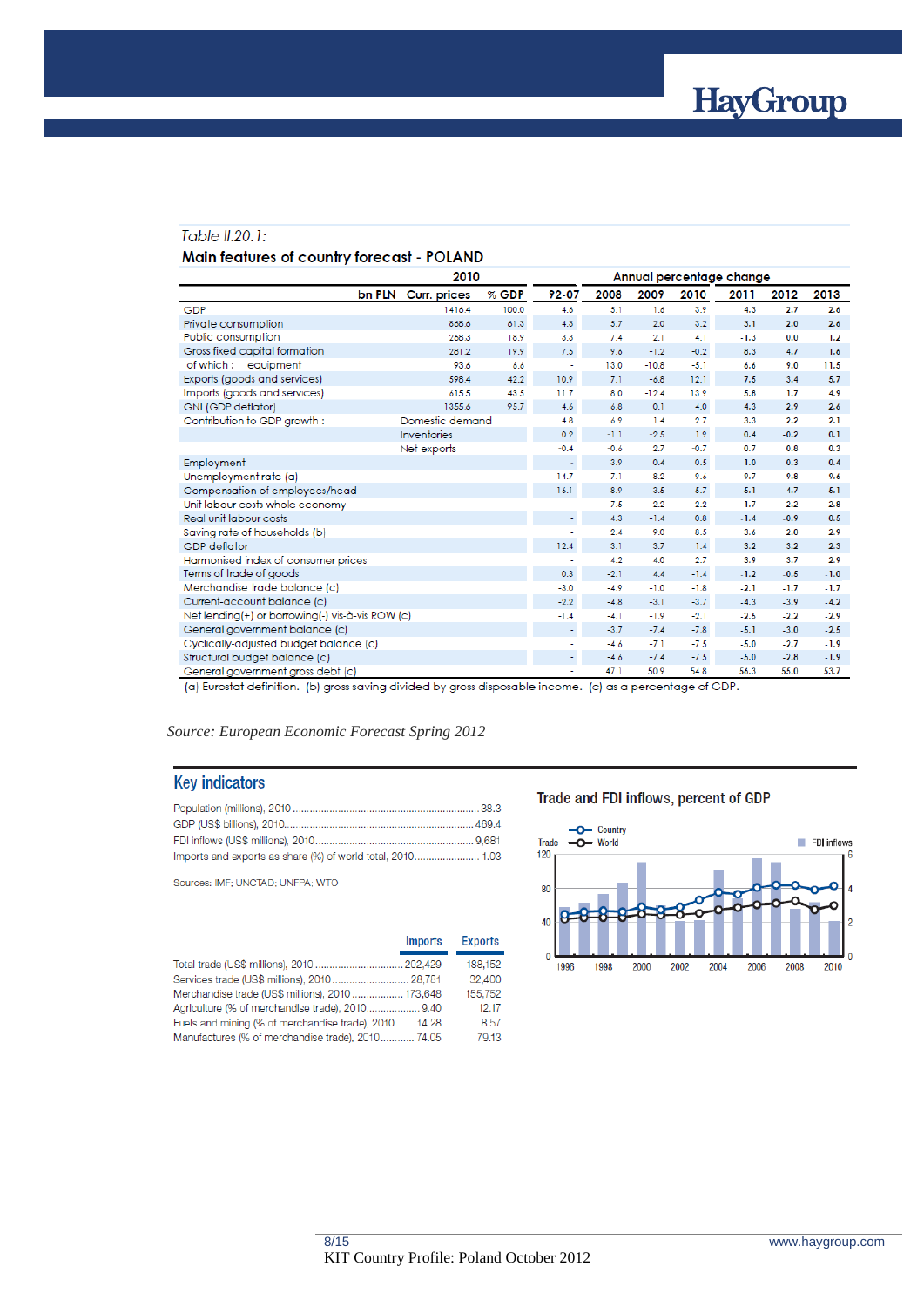

#### Table II.20.1:

#### Main features of country forecast - POLAND

|                                                  |                               | 2010  |                          |        | Annual percentage change |        |        |        |        |
|--------------------------------------------------|-------------------------------|-------|--------------------------|--------|--------------------------|--------|--------|--------|--------|
|                                                  | bn PLN<br><b>Curr.</b> prices | % GDP | 92-07                    | 2008   | 2009                     | 2010   | 2011   | 2012   | 2013   |
| GDP                                              | 1416.4                        | 100.0 | 4.6                      | 5.1    | 1.6                      | 3.9    | 4.3    | 2.7    | 2.6    |
| Private consumption                              | 868.6                         | 61.3  | 4.3                      | 5.7    | 2.0                      | 3.2    | 3.1    | 2.0    | 2.6    |
| Public consumption                               | 268.3                         | 18.9  | 3.3                      | 7.4    | 2.1                      | 4.1    | $-1.3$ | 0.0    | 1.2    |
| Gross fixed capital formation                    | 281.2                         | 19.9  | 7.5                      | 9.6    | $-1.2$                   | $-0.2$ | 8.3    | 4.7    | 1.6    |
| of which: equipment                              | 93.6                          | 6.6   |                          | 13.0   | $-10.8$                  | $-5.1$ | 6.6    | 9.0    | 11.5   |
| Exports (goods and services)                     | 598.4                         | 42.2  | 10.9                     | 7.1    | $-6.8$                   | 12.1   | 7.5    | 3.4    | 5.7    |
| Imports (goods and services)                     | 615.5                         | 43.5  | 11.7                     | 8.0    | $-12.4$                  | 13.9   | 5.8    | 1.7    | 4.9    |
| <b>GNI (GDP deflator)</b>                        | 1355.6                        | 95.7  | 4.6                      | 6.8    | 0.1                      | 4.0    | 4.3    | 2.9    | 2.6    |
| Contribution to GDP growth:                      | Domestic demand               |       | 4.8                      | 6.9    | 1.4                      | 2.7    | 3.3    | 2.2    | 2.1    |
|                                                  | <b>Inventories</b>            |       | 0.2                      | $-1.1$ | $-2.5$                   | 1.9    | 0.4    | $-0.2$ | 0.1    |
|                                                  | Net exports                   |       | $-0.4$                   | $-0.6$ | 2.7                      | $-0.7$ | 0.7    | 0.8    | 0.3    |
| Employment                                       |                               |       | $\overline{\phantom{a}}$ | 3.9    | 0.4                      | 0.5    | 1.0    | 0.3    | 0.4    |
| Unemployment rate (a)                            |                               |       | 14.7                     | 7.1    | 8.2                      | 9.6    | 9.7    | 9.8    | 9.6    |
| Compensation of employees/head                   |                               |       | 16.1                     | 8.9    | 3.5                      | 5.7    | 5.1    | 4.7    | 5.1    |
| Unit labour costs whole economy                  |                               |       |                          | 7.5    | 2.2                      | 2.2    | 1.7    | 2.2    | 2.8    |
| Real unit labour costs                           |                               |       | ÷.                       | 4.3    | $-1.4$                   | 0.8    | $-1.4$ | $-0.9$ | 0.5    |
| Saving rate of households (b)                    |                               |       |                          | 2.4    | 9.0                      | 8.5    | 3.6    | 2.0    | 2.9    |
| <b>GDP</b> deflator                              |                               |       | 12.4                     | 3.1    | 3.7                      | 1.4    | 3.2    | 3.2    | 2.3    |
| Harmonised index of consumer prices              |                               |       |                          | 4.2    | 4.0                      | 2.7    | 3.9    | 3.7    | 2.9    |
| Terms of trade of goods                          |                               |       | 0.3                      | $-2.1$ | 4.4                      | $-1.4$ | $-1.2$ | $-0.5$ | $-1.0$ |
| Merchandise trade balance (c)                    |                               |       | $-3.0$                   | $-4.9$ | $-1.0$                   | $-1.8$ | $-2.1$ | $-1.7$ | $-1.7$ |
| Current-account balance (c)                      |                               |       | $-2.2$                   | $-4.8$ | $-3.1$                   | $-3.7$ | $-4.3$ | $-3.9$ | $-4.2$ |
| Net lending(+) or borrowing(-) vis-à-vis ROW (c) |                               |       | $-1.4$                   | $-4.1$ | $-1.9$                   | $-2.1$ | $-2.5$ | $-2.2$ | $-2.9$ |
| General government balance (c)                   |                               |       |                          | $-3.7$ | $-7.4$                   | $-7.8$ | $-5.1$ | $-3.0$ | $-2.5$ |
| Cyclically-adjusted budget balance (c)           |                               |       |                          | $-4.6$ | $-7.1$                   | $-7.5$ | $-5.0$ | $-2.7$ | $-1.9$ |
| Structural budget balance (c)                    |                               |       |                          | $-4.6$ | $-7.4$                   | $-7.5$ | $-5.0$ | $-2.8$ | $-1.9$ |
| General government gross debt (c)                |                               |       |                          | 47.1   | 50.9                     | 54.8   | 56.3   | 55.0   | 53.7   |

(a) Eurostat definition. (b) gross saving divided by gross disposable income. (c) as a percentage of GDP.

#### *Source: European Economic Forecast Spring 2012*

#### **Key indicators**

Sources: IMF; UNCTAD; UNFPA; WTO

|                                                       | <b>Imports</b> | <b>Exports</b> |
|-------------------------------------------------------|----------------|----------------|
| Total trade (US\$ millions), 2010  202,429            |                | 188,152        |
| Services trade (US\$ millions), 2010 28,781           |                | 32,400         |
| Merchandise trade (US\$ millions), 2010  173,648      |                | 155.752        |
| Agriculture (% of merchandise trade), 2010 9.40       |                | 12.17          |
| Fuels and mining (% of merchandise trade), 2010 14.28 |                | 8.57           |
| Manufactures (% of merchandise trade), 2010 74.05     |                | 79.13          |

#### Trade and FDI inflows, percent of GDP

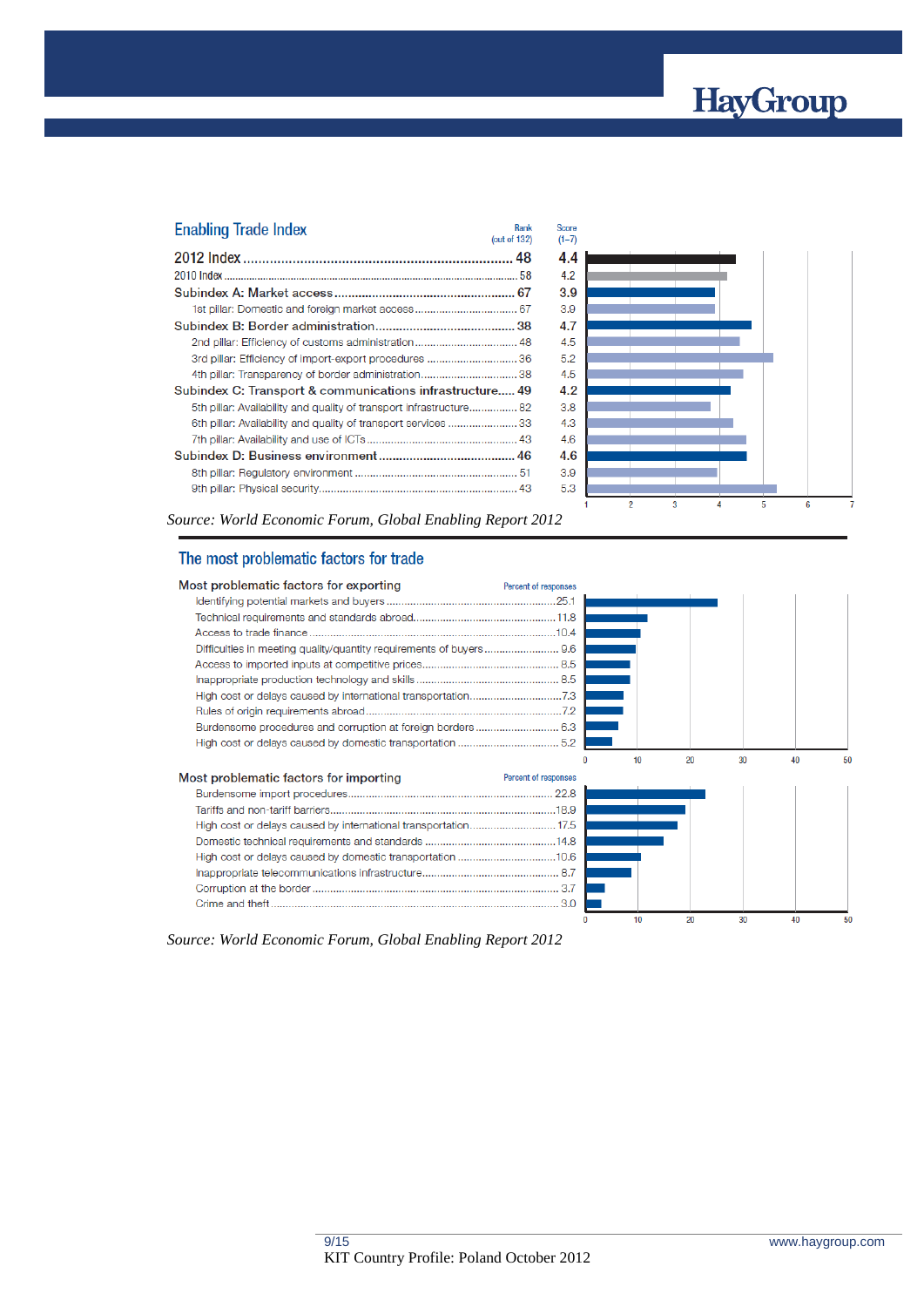# HayGroup

| <b>Enabling Trade Index</b>                                         | Rank<br>(out of 132) |
|---------------------------------------------------------------------|----------------------|
|                                                                     |                      |
|                                                                     |                      |
|                                                                     |                      |
|                                                                     |                      |
|                                                                     |                      |
| 2nd pillar: Efficiency of customs administration 48                 |                      |
| 3rd pillar: Efficiency of import-export procedures 36               |                      |
|                                                                     |                      |
| Subindex C: Transport & communications infrastructure 49            |                      |
| 5th pillar: Availability and quality of transport infrastructure 82 |                      |
| 6th pillar: Availability and quality of transport services 33       |                      |
|                                                                     |                      |
|                                                                     |                      |
|                                                                     |                      |
|                                                                     |                      |



*Source: World Economic Forum, Global Enabling Report 2012*

## The most problematic factors for trade

| Most problematic factors for exporting | Percent of responses |
|----------------------------------------|----------------------|
|                                        |                      |
|                                        |                      |
|                                        |                      |
|                                        |                      |
|                                        |                      |
|                                        |                      |
|                                        |                      |
|                                        |                      |
|                                        |                      |
|                                        |                      |
|                                        |                      |

| Most problematic factors for importing | Percent of responses |
|----------------------------------------|----------------------|
|                                        |                      |
|                                        |                      |
|                                        |                      |
|                                        |                      |
|                                        |                      |
|                                        |                      |
|                                        |                      |
|                                        |                      |



*Source: World Economic Forum, Global Enabling Report 2012*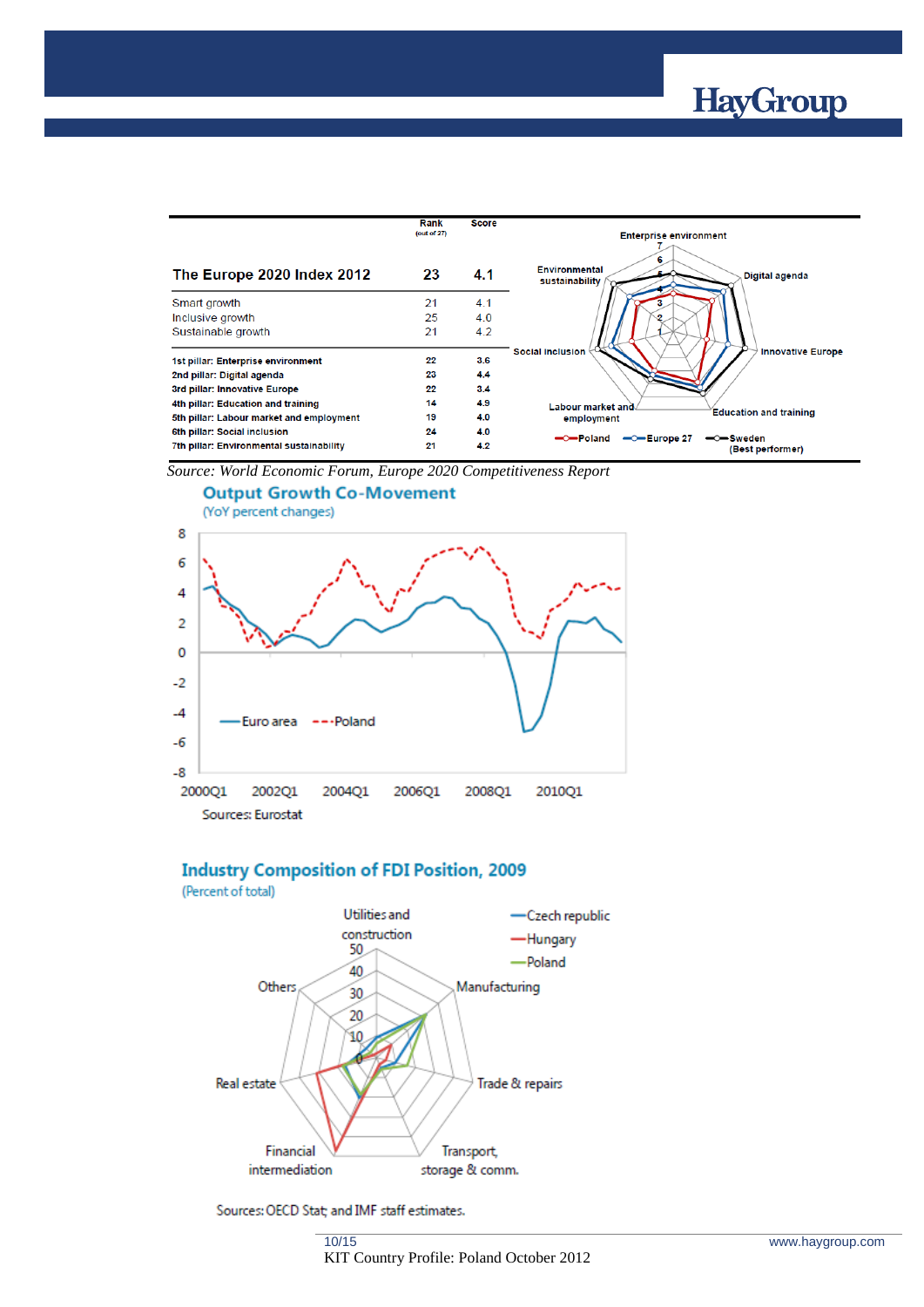

|                                          | Rank        | <b>Score</b> |                                                                                 |
|------------------------------------------|-------------|--------------|---------------------------------------------------------------------------------|
|                                          | (out of 27) |              | <b>Enterprise environment</b>                                                   |
| The Europe 2020 Index 2012               | 23          | 4.1          | 6<br><b>Environmental</b><br>Digital agenda<br>sustainability                   |
| Smart growth                             | 21          | 4.1          |                                                                                 |
| Inclusive growth                         | 25          | 4.0          |                                                                                 |
| Sustainable growth                       | 21          | 4.2          |                                                                                 |
| 1st pillar: Enterprise environment       | 22          | 3.6          | Social inclusion<br><b>Innovative Europe</b>                                    |
| 2nd pillar: Digital agenda               | 23          | 4.4          |                                                                                 |
| 3rd pillar: Innovative Europe            | 22          | 3.4          |                                                                                 |
| 4th pillar: Education and training       | 14          | 4.9          | Labour market and                                                               |
| 5th pillar: Labour market and employment | 19          | 4.0          | <b>Education and training</b><br>employment                                     |
| 6th pillar: Social inclusion             | 24          | 4.0          |                                                                                 |
| 7th pillar: Environmental sustainability | 21          | 4.2          | -O-Poland<br>$\leftarrow$ Europe 27<br>$\rightarrow$ Sweden<br>(Best performer) |

*Source: World Economic Forum, Europe 2020 Competitiveness Report*



#### **Industry Composition of FDI Position, 2009** (Percent of total)



Sources: OECD Stat; and IMF staff estimates.

10/15 KIT Country Profile: Poland October 2012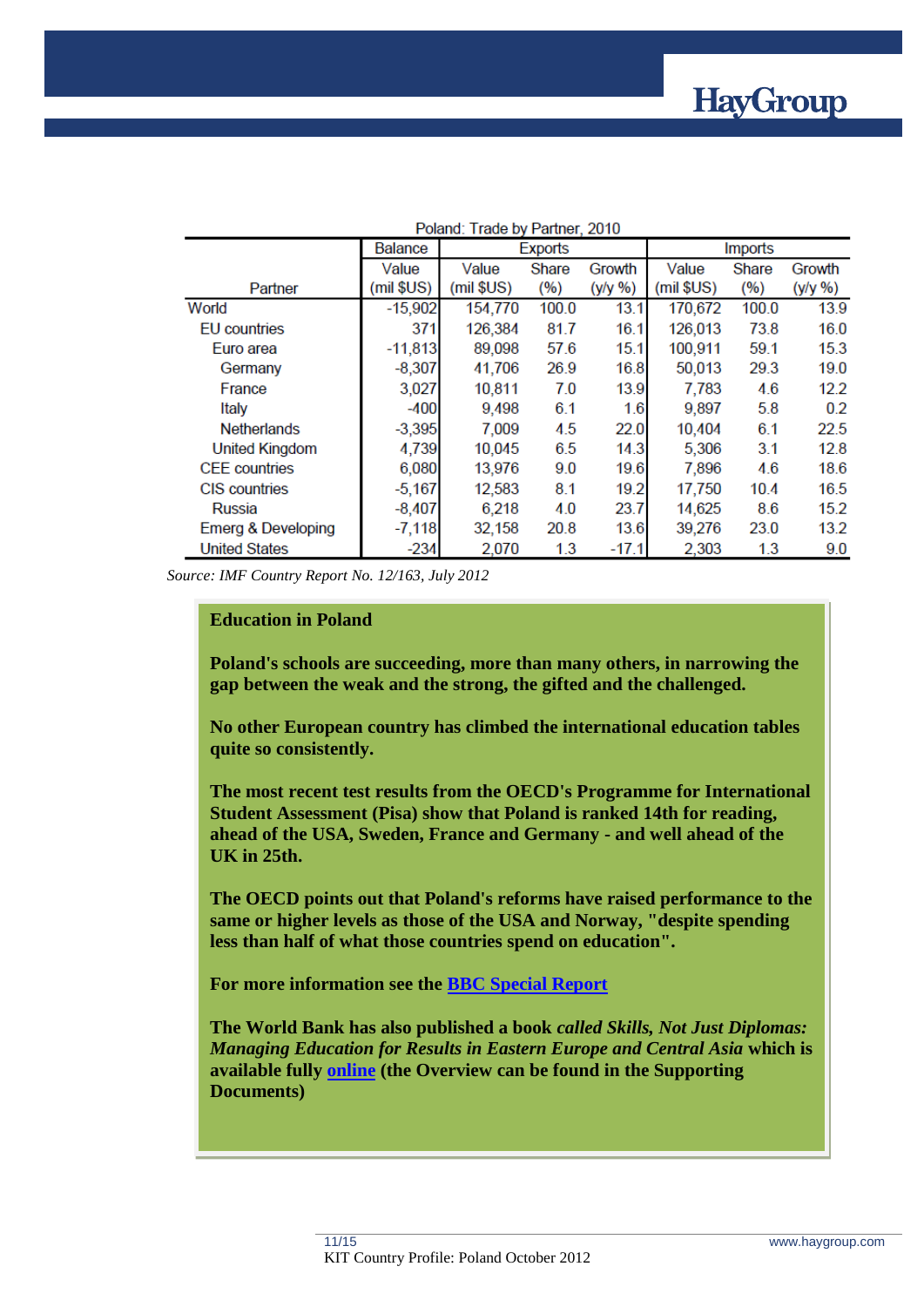

| Poland: Trade by Partner, 2010 |                           |              |       |            |              |       |            |  |  |
|--------------------------------|---------------------------|--------------|-------|------------|--------------|-------|------------|--|--|
|                                | <b>Balance</b><br>Exports |              |       |            | Imports      |       |            |  |  |
|                                | Value                     | Value        | Share | Growth     | Value        | Share | Growth     |  |  |
| Partner                        | $(mil$ $SUS)$             | $(mil$ \$US) | (%)   | $(y/y \%)$ | $(mil$ \$US) | (%)   | $(y/y \%)$ |  |  |
| World                          | $-15,902$                 | 154,770      | 100.0 | 13.1       | 170,672      | 100.0 | 13.9       |  |  |
| EU countries                   | 371                       | 126,384      | 81.7  | 16.1       | 126,013      | 73.8  | 16.0       |  |  |
| Euro area                      | $-11,813$                 | 89,098       | 57.6  | 15.1       | 100,911      | 59.1  | 15.3       |  |  |
| Germany                        | $-8,307$                  | 41,706       | 26.9  | 16.8       | 50,013       | 29.3  | 19.0       |  |  |
| France                         | 3,027                     | 10,811       | 7.0   | 13.9       | 7,783        | 4.6   | 12.2       |  |  |
| Italy                          | $-400$                    | 9,498        | 6.1   | 1.6        | 9,897        | 5.8   | 0.2        |  |  |
| <b>Netherlands</b>             | $-3,395$                  | 7,009        | 4.5   | 22.0       | 10,404       | 6.1   | 22.5       |  |  |
| United Kingdom                 | 4,739                     | 10,045       | 6.5   | 14.3       | 5,306        | 3.1   | 12.8       |  |  |
| <b>CEE</b> countries           | 6,080                     | 13,976       | 9.0   | 19.6       | 7,896        | 4.6   | 18.6       |  |  |
| CIS countries                  | $-5,167$                  | 12,583       | 8.1   | 19.2       | 17,750       | 10.4  | 16.5       |  |  |
| Russia                         | $-8,407$                  | 6,218        | 4.0   | 23.7       | 14,625       | 8.6   | 15.2       |  |  |
| Emerg & Developing             | $-7,118$                  | 32,158       | 20.8  | 13.6       | 39,276       | 23.0  | 13.2       |  |  |
| <b>United States</b>           | $-234$                    | 2,070        | 1.3   | $-17.1$    | 2,303        | 1.3   | 9.0        |  |  |

*Source: IMF Country Report No. 12/163, July 2012*

## **Education in Poland**

**Poland's schools are succeeding, more than many others, in narrowing the gap between the weak and the strong, the gifted and the challenged.**

**No other European country has climbed the international education tables quite so consistently.**

**The most recent test results from the OECD's Programme for International Student Assessment (Pisa) show that Poland is ranked 14th for reading, ahead of the USA, Sweden, France and Germany - and well ahead of the UK in 25th.**

**The OECD points out that Poland's reforms have raised performance to the same or higher levels as those of the USA and Norway, "despite spending less than half of what those countries spend on education".**

**For more information see the [BBC Special Report](http://www.bbc.co.uk/news/business-18151512)**

**The World Bank has also published a book** *called Skills, Not Just Diplomas: Managing Education for Results in Eastern Europe and Central Asia* **which is available fully [online](http://web.worldbank.org/WBSITE/EXTERNAL/COUNTRIES/ECAEXT/0,,contentMDK:23019634~menuPK:3970758~pagePK:2865106~piPK:2865128~theSitePK:258599,00.html) (the Overview can be found in the Supporting Documents)**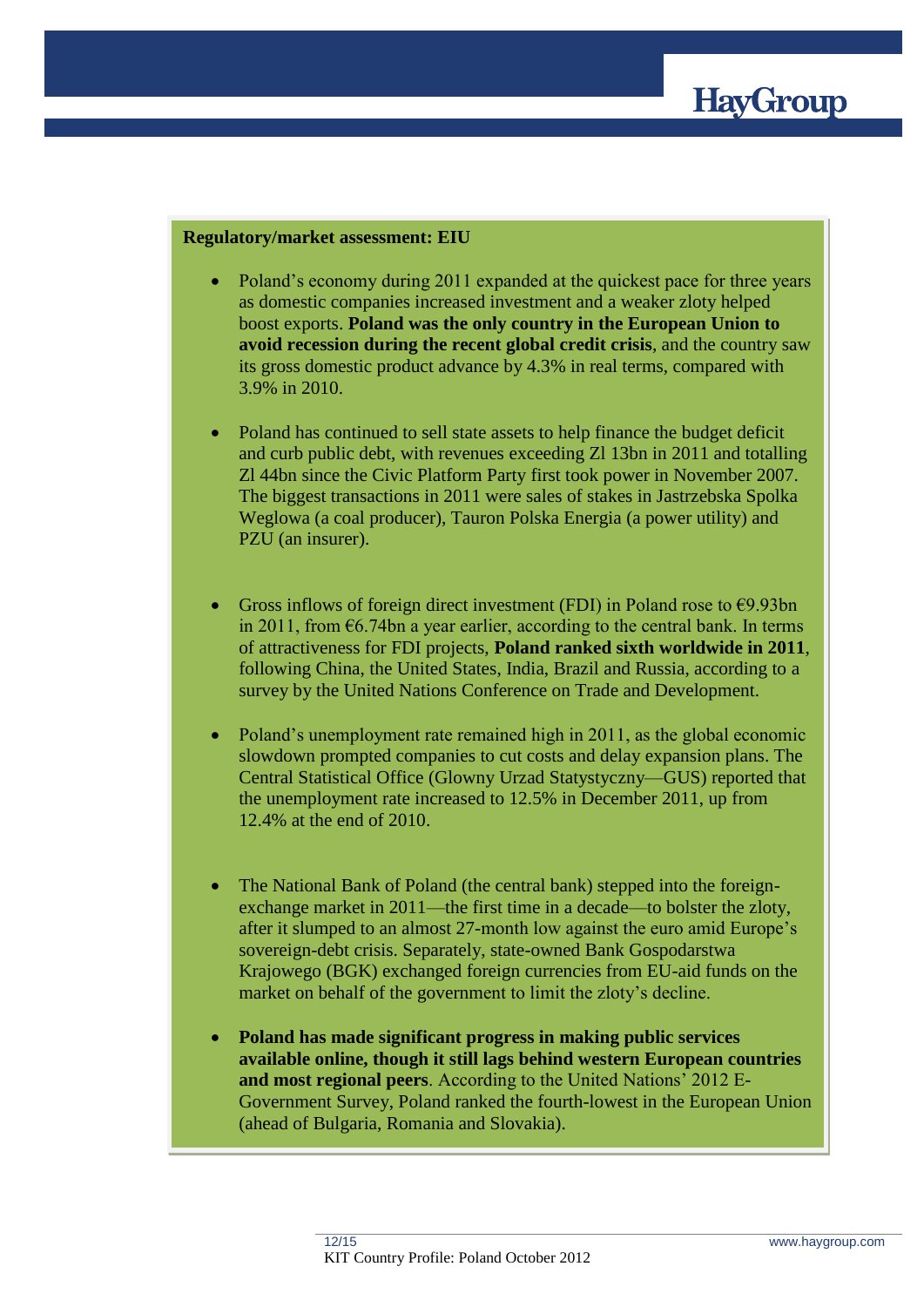

#### **Regulatory/market assessment: EIU**

- Poland's economy during 2011 expanded at the quickest pace for three years as domestic companies increased investment and a weaker zloty helped boost exports. **Poland was the only country in the European Union to avoid recession during the recent global credit crisis**, and the country saw its gross domestic product advance by 4.3% in real terms, compared with 3.9% in 2010.
- Poland has continued to sell state assets to help finance the budget deficit and curb public debt, with revenues exceeding Zl 13bn in 2011 and totalling Zl 44bn since the Civic Platform Party first took power in November 2007. The biggest transactions in 2011 were sales of stakes in Jastrzebska Spolka Weglowa (a coal producer), Tauron Polska Energia (a power utility) and PZU (an insurer).
- Gross inflows of foreign direct investment (FDI) in Poland rose to  $\epsilon$ 9.93bn in 2011, from €6.74bn a year earlier, according to the central bank. In terms of attractiveness for FDI projects, **Poland ranked sixth worldwide in 2011**, following China, the United States, India, Brazil and Russia, according to a survey by the United Nations Conference on Trade and Development.
- Poland's unemployment rate remained high in 2011, as the global economic slowdown prompted companies to cut costs and delay expansion plans. The Central Statistical Office (Glowny Urzad Statystyczny—GUS) reported that the unemployment rate increased to 12.5% in December 2011, up from 12.4% at the end of 2010.
- The National Bank of Poland (the central bank) stepped into the foreignexchange market in 2011—the first time in a decade—to bolster the zloty, after it slumped to an almost 27-month low against the euro amid Europe's sovereign-debt crisis. Separately, state-owned Bank Gospodarstwa Krajowego (BGK) exchanged foreign currencies from EU-aid funds on the market on behalf of the government to limit the zloty's decline.
- **Poland has made significant progress in making public services available online, though it still lags behind western European countries and most regional peers**. According to the United Nations' 2012 E-Government Survey, Poland ranked the fourth-lowest in the European Union (ahead of Bulgaria, Romania and Slovakia).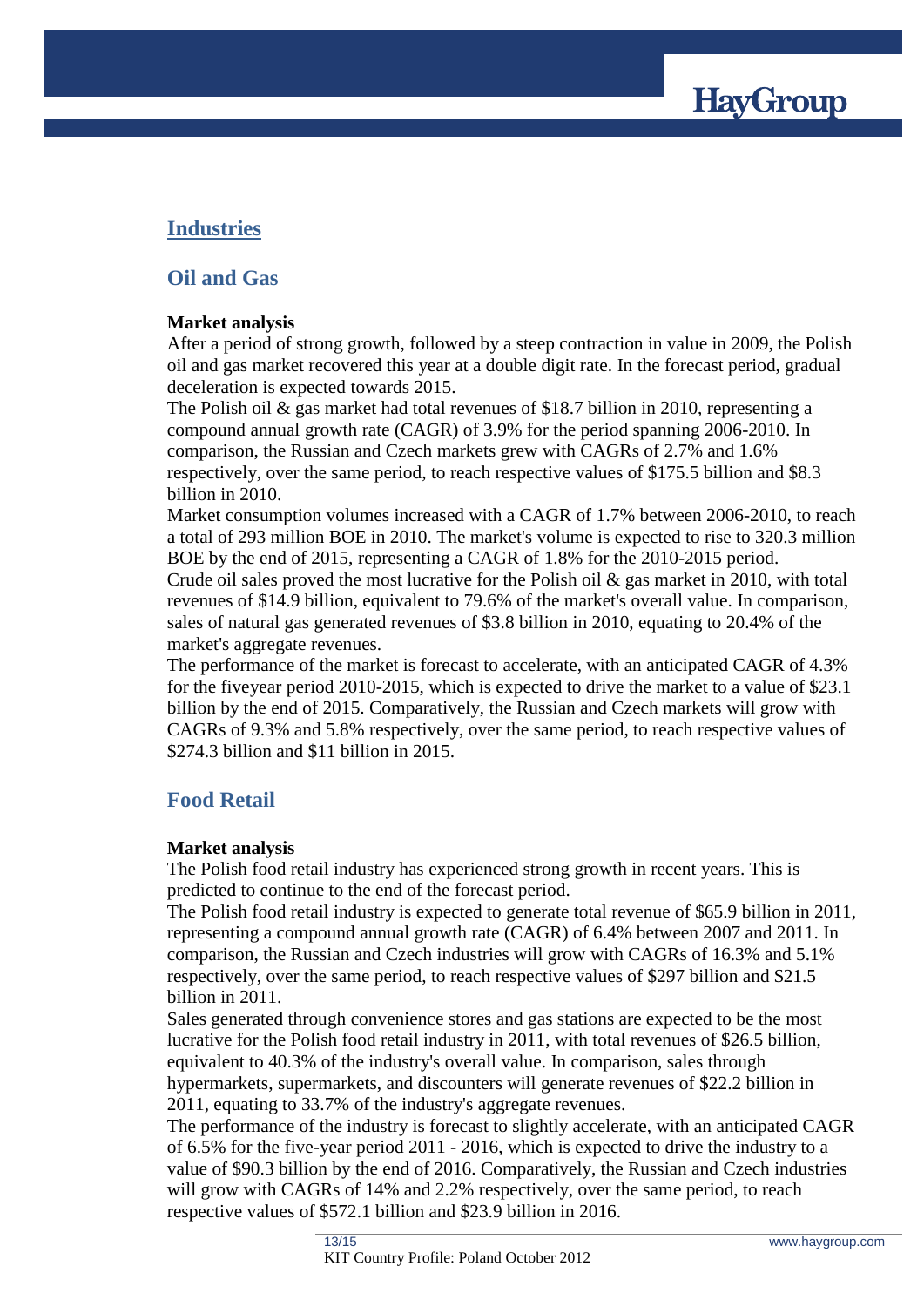

# **Industries**

## **Oil and Gas**

## **Market analysis**

After a period of strong growth, followed by a steep contraction in value in 2009, the Polish oil and gas market recovered this year at a double digit rate. In the forecast period, gradual deceleration is expected towards 2015.

The Polish oil & gas market had total revenues of \$18.7 billion in 2010, representing a compound annual growth rate (CAGR) of 3.9% for the period spanning 2006-2010. In comparison, the Russian and Czech markets grew with CAGRs of 2.7% and 1.6% respectively, over the same period, to reach respective values of \$175.5 billion and \$8.3 billion in 2010.

Market consumption volumes increased with a CAGR of 1.7% between 2006-2010, to reach a total of 293 million BOE in 2010. The market's volume is expected to rise to 320.3 million BOE by the end of 2015, representing a CAGR of 1.8% for the 2010-2015 period.

Crude oil sales proved the most lucrative for the Polish oil & gas market in 2010, with total revenues of \$14.9 billion, equivalent to 79.6% of the market's overall value. In comparison, sales of natural gas generated revenues of \$3.8 billion in 2010, equating to 20.4% of the market's aggregate revenues.

The performance of the market is forecast to accelerate, with an anticipated CAGR of 4.3% for the fiveyear period 2010-2015, which is expected to drive the market to a value of \$23.1 billion by the end of 2015. Comparatively, the Russian and Czech markets will grow with CAGRs of 9.3% and 5.8% respectively, over the same period, to reach respective values of \$274.3 billion and \$11 billion in 2015.

# **Food Retail**

## **Market analysis**

The Polish food retail industry has experienced strong growth in recent years. This is predicted to continue to the end of the forecast period.

The Polish food retail industry is expected to generate total revenue of \$65.9 billion in 2011, representing a compound annual growth rate (CAGR) of 6.4% between 2007 and 2011. In comparison, the Russian and Czech industries will grow with CAGRs of 16.3% and 5.1% respectively, over the same period, to reach respective values of \$297 billion and \$21.5 billion in 2011.

Sales generated through convenience stores and gas stations are expected to be the most lucrative for the Polish food retail industry in 2011, with total revenues of \$26.5 billion, equivalent to 40.3% of the industry's overall value. In comparison, sales through hypermarkets, supermarkets, and discounters will generate revenues of \$22.2 billion in 2011, equating to 33.7% of the industry's aggregate revenues.

The performance of the industry is forecast to slightly accelerate, with an anticipated CAGR of 6.5% for the five-year period 2011 - 2016, which is expected to drive the industry to a value of \$90.3 billion by the end of 2016. Comparatively, the Russian and Czech industries will grow with CAGRs of 14% and 2.2% respectively, over the same period, to reach respective values of \$572.1 billion and \$23.9 billion in 2016.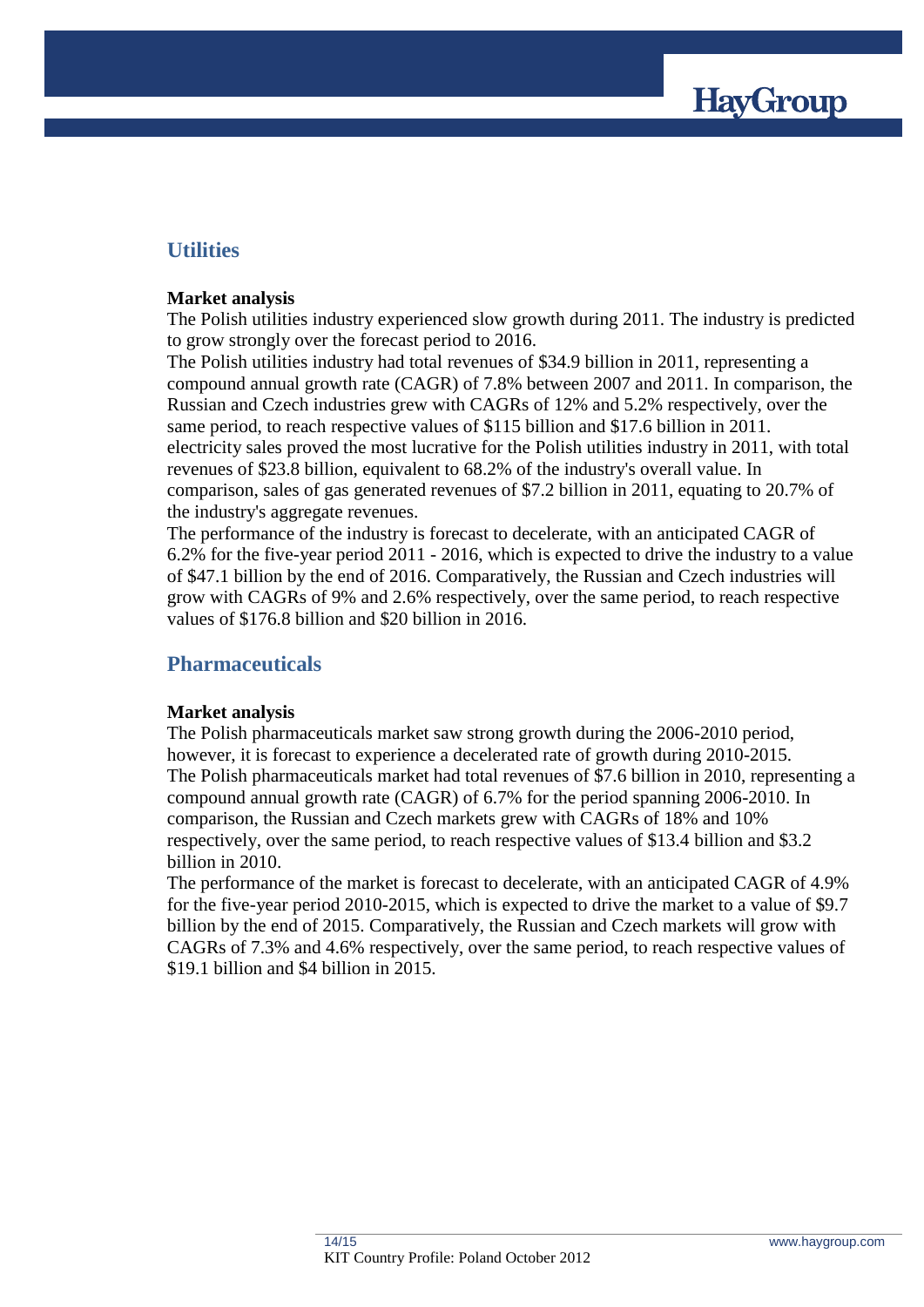

## **Utilities**

### **Market analysis**

The Polish utilities industry experienced slow growth during 2011. The industry is predicted to grow strongly over the forecast period to 2016.

The Polish utilities industry had total revenues of \$34.9 billion in 2011, representing a compound annual growth rate (CAGR) of 7.8% between 2007 and 2011. In comparison, the Russian and Czech industries grew with CAGRs of 12% and 5.2% respectively, over the same period, to reach respective values of \$115 billion and \$17.6 billion in 2011. electricity sales proved the most lucrative for the Polish utilities industry in 2011, with total revenues of \$23.8 billion, equivalent to 68.2% of the industry's overall value. In comparison, sales of gas generated revenues of \$7.2 billion in 2011, equating to 20.7% of the industry's aggregate revenues.

The performance of the industry is forecast to decelerate, with an anticipated CAGR of 6.2% for the five-year period 2011 - 2016, which is expected to drive the industry to a value of \$47.1 billion by the end of 2016. Comparatively, the Russian and Czech industries will grow with CAGRs of 9% and 2.6% respectively, over the same period, to reach respective values of \$176.8 billion and \$20 billion in 2016.

## **Pharmaceuticals**

## **Market analysis**

The Polish pharmaceuticals market saw strong growth during the 2006-2010 period, however, it is forecast to experience a decelerated rate of growth during 2010-2015. The Polish pharmaceuticals market had total revenues of \$7.6 billion in 2010, representing a compound annual growth rate (CAGR) of 6.7% for the period spanning 2006-2010. In comparison, the Russian and Czech markets grew with CAGRs of 18% and 10% respectively, over the same period, to reach respective values of \$13.4 billion and \$3.2 billion in 2010.

The performance of the market is forecast to decelerate, with an anticipated CAGR of 4.9% for the five-year period 2010-2015, which is expected to drive the market to a value of \$9.7 billion by the end of 2015. Comparatively, the Russian and Czech markets will grow with CAGRs of 7.3% and 4.6% respectively, over the same period, to reach respective values of \$19.1 billion and \$4 billion in 2015.